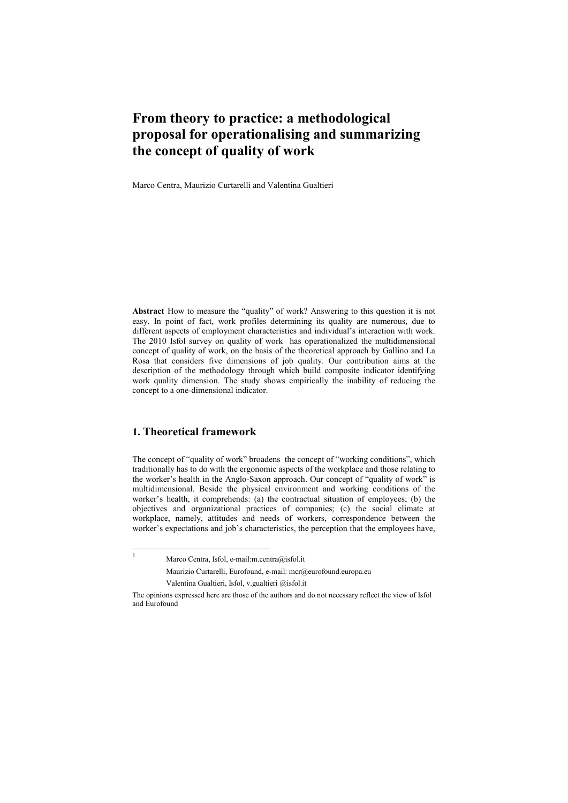## **From theory to practice: a methodological proposal for operationalising and summarizing the concept of quality of work**

Marco Centra, Maurizio Curtarelli and Valentina Gualtieri<sup>1</sup>

**Abstract** How to measure the "quality" of work? Answering to this question it is not easy. In point of fact, work profiles determining its quality are numerous, due to different aspects of employment characteristics and individual's interaction with work. The 2010 Isfol survey on quality of work has operationalized the multidimensional concept of quality of work, on the basis of the theoretical approach by Gallino and La Rosa that considers five dimensions of job quality. Our contribution aims at the description of the methodology through which build composite indicator identifying work quality dimension. The study shows empirically the inability of reducing the concept to a one-dimensional indicator.

## **1. Theoretical framework**

The concept of "quality of work" broadens the concept of "working conditions", which traditionally has to do with the ergonomic aspects of the workplace and those relating to the worker's health in the Anglo-Saxon approach. Our concept of "quality of work" is multidimensional. Beside the physical environment and working conditions of the worker's health, it comprehends: (a) the contractual situation of employees; (b) the objectives and organizational practices of companies; (c) the social climate at workplace, namely, attitudes and needs of workers, correspondence between the worker's expectations and job's characteristics, the perception that the employees have,

 $\overline{1}$ 

Marco Centra, Isfol, e-mail:m.centra@isfol.it

Maurizio Curtarelli, Eurofound, e-mail: mcr@eurofound.europa.eu

Valentina Gualtieri, Isfol, v.gualtieri @isfol.it

The opinions expressed here are those of the authors and do not necessary reflect the view of Isfol and Eurofound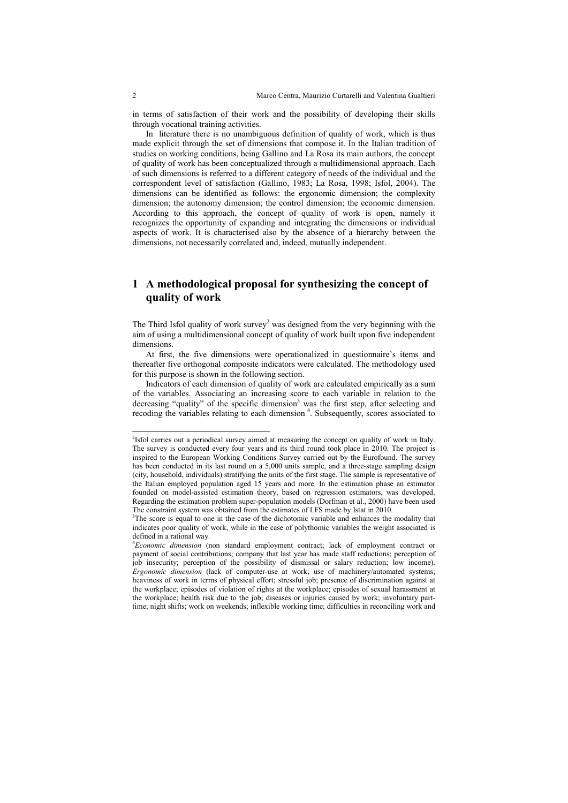in terms of satisfaction of their work and the possibility of developing their skills through vocational training activities.

In literature there is no unambiguous definition of quality of work, which is thus made explicit through the set of dimensions that compose it. In the Italian tradition of studies on working conditions, being Gallino and La Rosa its main authors, the concept of quality of work has been conceptualized through a multidimensional approach. Each of such dimensions is referred to a different category of needs of the individual and the correspondent level of satisfaction (Gallino, 1983; La Rosa, 1998; Isfol, 2004). The dimensions can be identified as follows: the ergonomic dimension; the complexity dimension; the autonomy dimension; the control dimension; the economic dimension. According to this approach, the concept of quality of work is open, namely it recognizes the opportunity of expanding and integrating the dimensions or individual aspects of work. It is characterised also by the absence of a hierarchy between the dimensions, not necessarily correlated and, indeed, mutually independent.

## **1 A methodological proposal for synthesizing the concept of quality of work**

The Third Isfol quality of work survey<sup>2</sup> was designed from the very beginning with the aim of using a multidimensional concept of quality of work built upon five independent dimensions.

At first, the five dimensions were operationalized in questionnaire's items and thereafter five orthogonal composite indicators were calculated. The methodology used for this purpose is shown in the following section.

Indicators of each dimension of quality of work are calculated empirically as a sum of the variables. Associating an increasing score to each variable in relation to the decreasing "quality" of the specific dimension<sup>3</sup> was the first step, after selecting and recoding the variables relating to each dimension<sup>4</sup>. Subsequently, scores associated to

-

<sup>&</sup>lt;sup>2</sup>Isfol carries out a periodical survey aimed at measuring the concept on quality of work in Italy. The survey is conducted every four years and its third round took place in 2010. The project is inspired to the European Working Conditions Survey carried out by the Eurofound. The survey has been conducted in its last round on a 5,000 units sample, and a three-stage sampling design (city, household, individuals) stratifying the units of the first stage. The sample is representative of the Italian employed population aged 15 years and more. In the estimation phase an estimator founded on model-assisted estimation theory, based on regression estimators, was developed. Regarding the estimation problem super-population models (Dorfman et al., 2000) have been used The constraint system was obtained from the estimates of LFS made by Istat in 2010.

<sup>&</sup>lt;sup>3</sup>The score is equal to one in the case of the dichotomic variable and enhances the modality that indicates poor quality of work, while in the case of polythomic variables the weight associated is defined in a rational way.

<sup>4</sup>*Economic dimension* (non standard employment contract; lack of employment contract or payment of social contributions; company that last year has made staff reductions; perception of job insecurity; perception of the possibility of dismissal or salary reduction; low income). *Ergonomic dimension* (lack of computer-use at work; use of machinery/automated systems; heaviness of work in terms of physical effort; stressful job; presence of discrimination against at the workplace; episodes of violation of rights at the workplace; episodes of sexual harassment at the workplace; health risk due to the job; diseases or injuries caused by work; involuntary parttime; night shifts; work on weekends; inflexible working time; difficulties in reconciling work and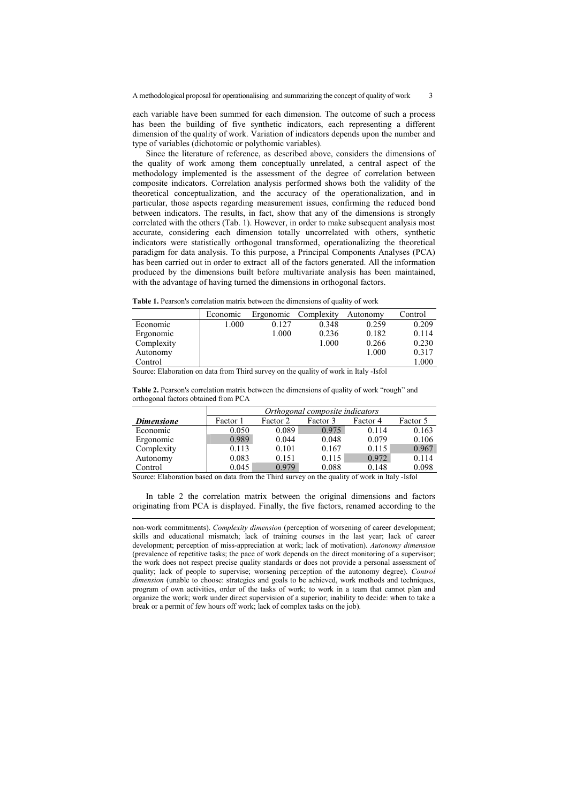each variable have been summed for each dimension. The outcome of such a process has been the building of five synthetic indicators, each representing a different dimension of the quality of work. Variation of indicators depends upon the number and type of variables (dichotomic or polythomic variables).

Since the literature of reference, as described above, considers the dimensions of the quality of work among them conceptually unrelated, a central aspect of the methodology implemented is the assessment of the degree of correlation between composite indicators. Correlation analysis performed shows both the validity of the theoretical conceptualization, and the accuracy of the operationalization, and in particular, those aspects regarding measurement issues, confirming the reduced bond between indicators. The results, in fact, show that any of the dimensions is strongly correlated with the others (Tab. 1). However, in order to make subsequent analysis most accurate, considering each dimension totally uncorrelated with others, synthetic indicators were statistically orthogonal transformed, operationalizing the theoretical paradigm for data analysis. To this purpose, a Principal Components Analyses (PCA) has been carried out in order to extract all of the factors generated. All the information produced by the dimensions built before multivariate analysis has been maintained, with the advantage of having turned the dimensions in orthogonal factors.

|  |  |  |  |  |  | <b>Table 1.</b> Pearson's correlation matrix between the dimensions of quality of work |  |  |  |
|--|--|--|--|--|--|----------------------------------------------------------------------------------------|--|--|--|
|--|--|--|--|--|--|----------------------------------------------------------------------------------------|--|--|--|

|            | Economic | Ergonomic | Complexity | Autonomy | Control |
|------------|----------|-----------|------------|----------|---------|
| Economic   | 1.000    | 0.127     | 0.348      | 0.259    | 0.209   |
| Ergonomic  |          | 1.000     | 0.236      | 0.182    | 0.114   |
| Complexity |          |           | 1.000      | 0.266    | 0.230   |
| Autonomy   |          |           |            | 1.000    | 0.317   |
| Control    |          |           |            |          | 1.000   |

Source: Elaboration on data from Third survey on the quality of work in Italy -Isfol

**Table 2.** Pearson's correlation matrix between the dimensions of quality of work "rough" and orthogonal factors obtained from PCA

|                   | Orthogonal composite indicators |          |          |          |          |  |  |
|-------------------|---------------------------------|----------|----------|----------|----------|--|--|
| <i>Dimensione</i> | Factor 1                        | Factor 2 | Factor 3 | Factor 4 | Factor 5 |  |  |
| Economic          | 0.050                           | 0.089    | 0.975    | 0.114    | 0.163    |  |  |
| Ergonomic         | 0.989                           | 0.044    | 0.048    | 0.079    | 0.106    |  |  |
| Complexity        | 0.113                           | 0.101    | 0.167    | 0.115    | 0.967    |  |  |
| Autonomy          | 0.083                           | 0.151    | 0.115    | 0.972    | 0.114    |  |  |
| Control           | 0.045                           | 0.979    | 0.088    | 0.148    | 0.098    |  |  |

Source: Elaboration based on data from the Third survey on the quality of work in Italy -Isfol

-

In table 2 the correlation matrix between the original dimensions and factors originating from PCA is displayed. Finally, the five factors, renamed according to the

non-work commitments). *Complexity dimension* (perception of worsening of career development; skills and educational mismatch; lack of training courses in the last year; lack of career development; perception of miss-appreciation at work; lack of motivation). *Autonomy dimension* (prevalence of repetitive tasks; the pace of work depends on the direct monitoring of a supervisor; the work does not respect precise quality standards or does not provide a personal assessment of quality; lack of people to supervise; worsening perception of the autonomy degree). *Control dimension* (unable to choose: strategies and goals to be achieved, work methods and techniques, program of own activities, order of the tasks of work; to work in a team that cannot plan and organize the work; work under direct supervision of a superior; inability to decide: when to take a break or a permit of few hours off work; lack of complex tasks on the job).